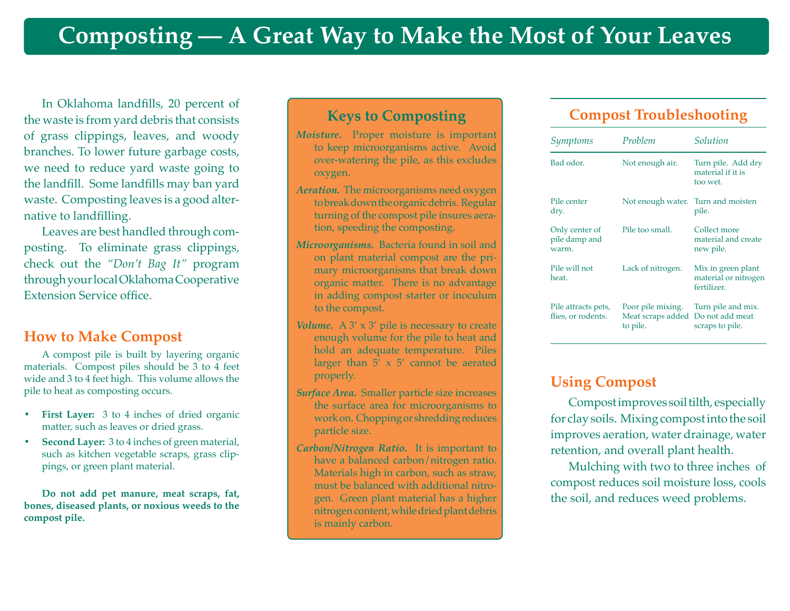In Oklahoma landfills, 20 percent of the waste is from yard debris that consists of grass clippings, leaves, and woody branches. To lower future garbage costs, we need to reduce yard waste going to the landfill. Some landfills may ban yard waste. Composting leaves is a good alternative to landfilling.

Leaves are best handled through composting. To eliminate grass clippings, check out the *"Don't Bag It"* program through your local Oklahoma Cooperative Extension Service office.

#### **How to Make Compost**

A compost pile is built by layering organic materials. Compost piles should be 3 to 4 feet wide and 3 to 4 feet high. This volume allows the pile to heat as composting occurs.

- **First Layer:** 3 to 4 inches of dried organic matter, such as leaves or dried grass.
- **• Second Layer:** 3 to 4 inches of green material, such as kitchen vegetable scraps, grass clippings, or green plant material.

**Do not add pet manure, meat scraps, fat, bones, diseased plants, or noxious weeds to the compost pile.**

#### **Keys to Composting**

- *Moisture.* Proper moisture is important to keep microorganisms active. Avoid over-watering the pile, as this excludes oxygen.
- *Aeration.* The microorganisms need oxygen to break down the organic debris. Regular turning of the compost pile insures aeration, speeding the composting.
- *Microorganisms.* Bacteria found in soil and on plant material compost are the primary microorganisms that break down organic matter. There is no advantage in adding compost starter or inoculum to the compost.
- *Volume.* A  $3' \times 3'$  pile is necessary to create enough volume for the pile to heat and hold an adequate temperature. Piles larger than  $5' \times 5'$  cannot be aerated properly.
- *Surface Area.* Smaller particle size increases the surface area for microorganisms to work on. Chopping or shredding reduces particle size.
- *Carbon/Nitrogen Ratio.* It is important to have a balanced carbon/nitrogen ratio. Materials high in carbon, such as straw, must be balanced with additional nitrogen. Green plant material has a higher nitrogen content, while dried plant debris is mainly carbon.

### **Compost Troubleshooting**

| Symptoms                                  | Problem                                            | Solution                                                  |
|-------------------------------------------|----------------------------------------------------|-----------------------------------------------------------|
| Bad odor.                                 | Not enough air.                                    | Turn pile. Add dry<br>material if it is<br>too wet.       |
| Pile center<br>dry.                       | Not enough water.                                  | Turn and moisten<br>pile.                                 |
| Only center of<br>pile damp and<br>warm.  | Pile too small.                                    | Collect more<br>material and create<br>new pile.          |
| Pile will not<br>heat.                    | Lack of nitrogen.                                  | Mix in green plant<br>material or nitrogen<br>fertilizer. |
| Pile attracts pets,<br>flies, or rodents. | Poor pile mixing.<br>Meat scraps added<br>to pile. | Turn pile and mix.<br>Do not add meat<br>scraps to pile.  |

#### **Using Compost**

Compost improves soil tilth, especially for clay soils. Mixing compost into the soil improves aeration, water drainage, water retention, and overall plant health.

Mulching with two to three inches of compost reduces soil moisture loss, cools the soil, and reduces weed problems.